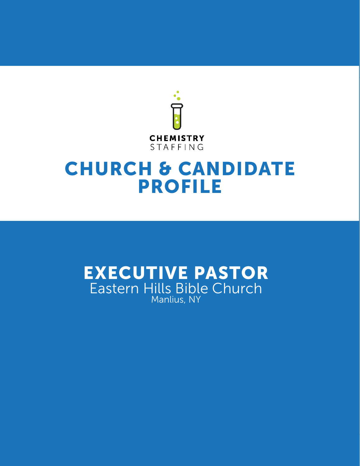

# CHURCH & CANDIDATE PROFILE

# EXECUTIVE PASTOR Eastern Hills Bible Church Manlius, NY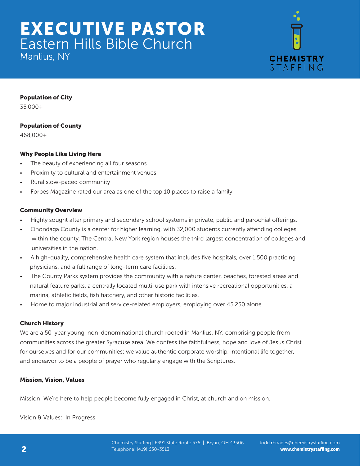Manlius, NY



# Population of City

35,000+

# Population of County

468,000+

# Why People Like Living Here

- The beauty of experiencing all four seasons
- Proximity to cultural and entertainment venues
- Rural slow-paced community
- Forbes Magazine rated our area as one of the top 10 places to raise a family

# Community Overview

- Highly sought after primary and secondary school systems in private, public and parochial offerings.
- Onondaga County is a center for higher learning, with 32,000 students currently attending colleges within the county. The Central New York region houses the third largest concentration of colleges and universities in the nation.
- A high-quality, comprehensive health care system that includes five hospitals, over 1,500 practicing physicians, and a full range of long-term care facilities.
- The County Parks system provides the community with a nature center, beaches, forested areas and natural feature parks, a centrally located multi-use park with intensive recreational opportunities, a marina, athletic fields, fish hatchery, and other historic facilities.
- Home to major industrial and service-related employers, employing over 45,250 alone.

# Church History

We are a 50-year young, non-denominational church rooted in Manlius, NY, comprising people from communities across the greater Syracuse area. We confess the faithfulness, hope and love of Jesus Christ for ourselves and for our communities; we value authentic corporate worship, intentional life together, and endeavor to be a people of prayer who regularly engage with the Scriptures.

# Mission, Vision, Values

Mission: We're here to help people become fully engaged in Christ, at church and on mission.

Vision & Values: In Progress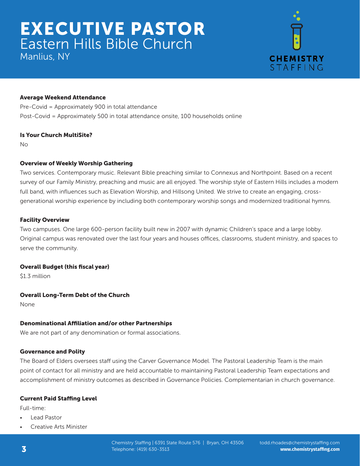Manlius, NY



# Average Weekend Attendance

Pre-Covid = Approximately 900 in total attendance Post-Covid = Approximately 500 in total attendance onsite, 100 households online

# Is Your Church MultiSite?

No

# Overview of Weekly Worship Gathering

Two services. Contemporary music. Relevant Bible preaching similar to Connexus and Northpoint. Based on a recent survey of our Family Ministry, preaching and music are all enjoyed. The worship style of Eastern Hills includes a modern full band, with influences such as Elevation Worship, and Hillsong United. We strive to create an engaging, crossgenerational worship experience by including both contemporary worship songs and modernized traditional hymns.

# Facility Overview

Two campuses. One large 600-person facility built new in 2007 with dynamic Children's space and a large lobby. Original campus was renovated over the last four years and houses offices, classrooms, student ministry, and spaces to serve the community.

# Overall Budget (this fiscal year)

\$1.3 million

# Overall Long-Term Debt of the Church

None

# Denominational Affiliation and/or other Partnerships

We are not part of any denomination or formal associations.

# Governance and Polity

The Board of Elders oversees staff using the Carver Governance Model. The Pastoral Leadership Team is the main point of contact for all ministry and are held accountable to maintaining Pastoral Leadership Team expectations and accomplishment of ministry outcomes as described in Governance Policies. Complementarian in church governance.

# Current Paid Staffing Level

Full-time:

- Lead Pastor
- Creative Arts Minister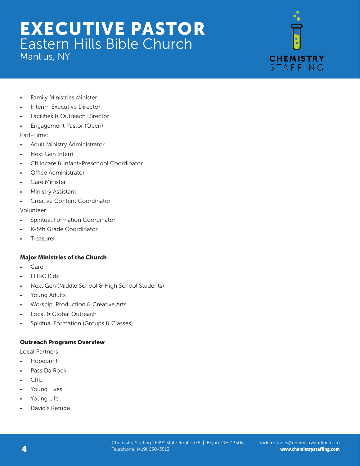Manlius, NY



- Family Ministries Minister
- Interim Executive Director
- Facilities & Outreach Director
- Engagement Pastor (Open)

Part-Time:

- Adult Ministry Administrator
- Next Gen Intern
- Childcare & Infant-Preschool Coordinator
- Office Administrator
- Care Minister
- Ministry Assistant
- Creative Content Coordinator

Volunteer:

- Spiritual Formation Coordinator
- K-5th Grade Coordinator
- **Treasurer**

# Major Ministries of the Church

- Care
- **FHBC Kids**
- Next Gen (Middle School & High School Students)
- Young Adults
- Worship, Production & Creative Arts
- Local & Global Outreach
- Spiritual Formation (Groups & Classes)

# Outreach Programs Overview

Local Partners:

- Hopeprint
- Pass Da Rock
- CRU
- Young Lives
- Young Life
- David's Refuge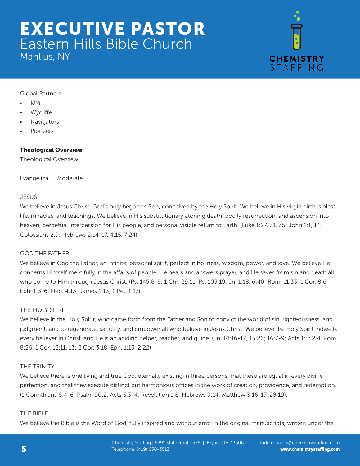Manlius, NY



Global Partners

- IJM
- **Wycliffe**
- **Navigators**
- Pioneers

# Theological Overview

Theological Overview

Evangelical = Moderate

# **JESUS**

We believe in Jesus Christ, God's only begotten Son, conceived by the Holy Spirit. We believe in His virgin birth, sinless life, miracles, and teachings. We believe in His substitutionary atoning death, bodily resurrection, and ascension into heaven, perpetual intercession for His people, and personal visible return to Earth. (Luke 1:27, 31, 35; John 1:1, 14; Colossians 2:9; Hebrews 2:14, 17, 4:15, 7:24)

# GOD THE FATHER

We believe in God the Father, an infinite, personal spirit, perfect in holiness, wisdom, power, and love. We believe He concerns Himself mercifully in the affairs of people, He hears and answers prayer, and He saves from sin and death all who come to Him through Jesus Christ. (Ps. 145:8-9; 1 Chr. 29:11; Ps. 103:19; Jn. 1:18, 6:40; Rom. 11:33; 1 Cor. 8:6; Eph. 1:3-6; Heb. 4:13; James 1:13; 1 Pet. 1:17)

# THE HOLY SPIRIT

We believe in the Holy Spirit, who came forth from the Father and Son to convict the world of sin, righteousness, and judgment, and to regenerate, sanctify, and empower all who believe in Jesus Christ. We believe the Holy Spirit indwells every believer in Christ, and He is an abiding helper, teacher, and guide. (Jn. 14:16-17; 15:26; 16:7-9; Acts 1:5; 2:4, Rom. 8:26; 1 Cor. 12:11, 13; 2 Cor. 3:18; Eph. 1:13; 2:22)

# THE TRINITY

We believe there is one living and true God, eternally existing in three persons, that these are equal in every divine perfection, and that they execute distinct but harmonious offices in the work of creation, providence, and redemption. (1 Corinthians 8:4-6; Psalm 90:2; Acts 5:3-4; Revelation 1:8; Hebrews 9:14; Matthew 3:16-17, 28:19).

# THE BIBLE

We believe the Bible is the Word of God, fully inspired and without error in the original manuscripts, written under the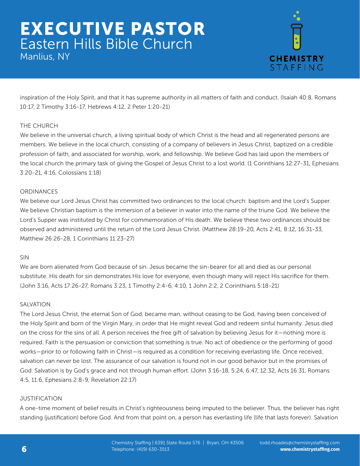Manlius, NY



inspiration of the Holy Spirit, and that it has supreme authority in all matters of faith and conduct. (Isaiah 40:8, Romans 10:17, 2 Timothy 3:16-17, Hebrews 4:12, 2 Peter 1:20-21)

# THE CHURCH

We believe in the universal church, a living spiritual body of which Christ is the head and all regenerated persons are members. We believe in the local church, consisting of a company of believers in Jesus Christ, baptized on a credible profession of faith, and associated for worship, work, and fellowship. We believe God has laid upon the members of the local church the primary task of giving the Gospel of Jesus Christ to a lost world. (1 Corinthians 12:27-31, Ephesians 3:20-21, 4:16, Colossians 1:18)

# **ORDINANCES**

We believe our Lord Jesus Christ has committed two ordinances to the local church: baptism and the Lord's Supper. We believe Christian baptism is the immersion of a believer in water into the name of the triune God. We believe the Lord's Supper was instituted by Christ for commemoration of His death. We believe these two ordinances should be observed and administered until the return of the Lord Jesus Christ. (Matthew 28:19-20, Acts 2:41, 8:12, 16:31-33, Matthew 26:26-28, 1 Corinthians 11:23-27)

# SIN

We are born alienated from God because of sin. Jesus became the sin-bearer for all and died as our personal substitute. His death for sin demonstrates His love for everyone, even though many will reject His sacrifice for them. (John 3:16, Acts 17:26-27, Romans 3:23, 1 Timothy 2:4-6, 4:10, 1 John 2:2, 2 Corinthians 5:18-21)

# SALVATION

The Lord Jesus Christ, the eternal Son of God, became man, without ceasing to be God, having been conceived of the Holy Spirit and born of the Virgin Mary, in order that He might reveal God and redeem sinful humanity. Jesus died on the cross for the sins of all. A person receives the free gift of salvation by believing Jesus for it—nothing more is required. Faith is the persuasion or conviction that something is true. No act of obedience or the performing of good works—prior to or following faith in Christ—is required as a condition for receiving everlasting life. Once received, salvation can never be lost. The assurance of our salvation is found not in our good behavior but in the promises of God. Salvation is by God's grace and not through human effort. (John 3:16-18, 5:24, 6:47, 12:32, Acts 16:31, Romans 4:5, 11:6, Ephesians 2:8-9, Revelation 22:17)

# **JUSTIFICATION**

A one-time moment of belief results in Christ's righteousness being imputed to the believer. Thus, the believer has right standing (justification) before God. And from that point on, a person has everlasting life (life that lasts forever). Salvation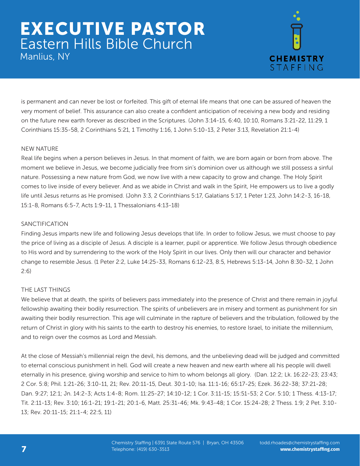Manlius, NY



is permanent and can never be lost or forfeited. This gift of eternal life means that one can be assured of heaven the very moment of belief. This assurance can also create a confident anticipation of receiving a new body and residing on the future new earth forever as described in the Scriptures. (John 3:14-15, 6:40, 10:10, Romans 3:21-22, 11:29, 1 Corinthians 15:35-58, 2 Corinthians 5:21, 1 Timothy 1:16, 1 John 5:10-13, 2 Peter 3:13, Revelation 21:1-4)

# NEW NATURE

Real life begins when a person believes in Jesus. In that moment of faith, we are born again or born from above. The moment we believe in Jesus, we become judicially free from sin's dominion over us although we still possess a sinful nature. Possessing a new nature from God, we now live with a new capacity to grow and change. The Holy Spirit comes to live inside of every believer. And as we abide in Christ and walk in the Spirit, He empowers us to live a godly life until Jesus returns as He promised. (John 3:3, 2 Corinthians 5:17, Galatians 5:17, 1 Peter 1:23, John 14:2-3, 16-18, 15:1-8, Romans 6:5-7, Acts 1:9-11, 1 Thessalonians 4:13-18)

# SANCTIFICATION

Finding Jesus imparts new life and following Jesus develops that life. In order to follow Jesus, we must choose to pay the price of living as a disciple of Jesus. A disciple is a learner, pupil or apprentice. We follow Jesus through obedience to His word and by surrendering to the work of the Holy Spirit in our lives. Only then will our character and behavior change to resemble Jesus. (1 Peter 2:2, Luke 14:25-33, Romans 6:12-23, 8:5, Hebrews 5:13-14, John 8:30-32, 1 John 2:6)

# THE LAST THINGS

We believe that at death, the spirits of believers pass immediately into the presence of Christ and there remain in joyful fellowship awaiting their bodily resurrection. The spirits of unbelievers are in misery and torment as punishment for sin awaiting their bodily resurrection. This age will culminate in the rapture of believers and the tribulation, followed by the return of Christ in glory with his saints to the earth to destroy his enemies, to restore Israel, to initiate the millennium, and to reign over the cosmos as Lord and Messiah.

At the close of Messiah's millennial reign the devil, his demons, and the unbelieving dead will be judged and committed to eternal conscious punishment in hell. God will create a new heaven and new earth where all his people will dwell eternally in his presence, giving worship and service to him to whom belongs all glory. (Dan. 12:2; Lk. 16:22-23; 23:43; 2 Cor. 5:8; Phil. 1:21-26; 3:10-11, 21; Rev. 20:11-15, Deut. 30:1-10; Isa. 11:1-16; 65:17-25; Ezek. 36:22-38; 37:21-28; Dan. 9:27; 12:1; Jn. 14:2-3; Acts 1:4-8; Rom. 11:25-27; 14:10-12; 1 Cor. 3:11-15; 15:51-53; 2 Cor. 5:10; 1 Thess. 4:13-17; Tit. 2:11-13; Rev. 3:10; 16:1-21; 19:1-21; 20:1-6, Matt. 25:31-46; Mk. 9:43-48; 1 Cor. 15:24-28; 2 Thess. 1:9; 2 Pet. 3:10- 13; Rev. 20:11-15; 21:1-4; 22:5, 11)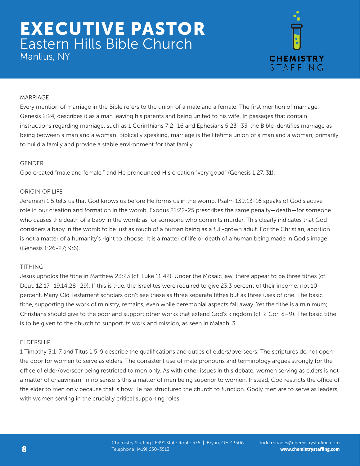# EXECUTIVE PASTOR Eastern Hills Bible Church Manlius, NY



# MARRIAGE

Every mention of marriage in the Bible refers to the union of a male and a female. The first mention of marriage, Genesis 2:24, describes it as a man leaving his parents and being united to his wife. In passages that contain instructions regarding marriage, such as 1 Corinthians 7:2–16 and Ephesians 5:23–33, the Bible identifies marriage as being between a man and a woman. Biblically speaking, marriage is the lifetime union of a man and a woman, primarily to build a family and provide a stable environment for that family.

#### **GENDER**

God created "male and female," and He pronounced His creation "very good" (Genesis 1:27, 31).

#### ORIGIN OF LIFE

Jeremiah 1:5 tells us that God knows us before He forms us in the womb. Psalm 139:13-16 speaks of God's active role in our creation and formation in the womb. Exodus 21:22-25 prescribes the same penalty—death—for someone who causes the death of a baby in the womb as for someone who commits murder. This clearly indicates that God considers a baby in the womb to be just as much of a human being as a full-grown adult. For the Christian, abortion is not a matter of a humanity's right to choose. It is a matter of life or death of a human being made in God's image (Genesis 1:26-27; 9:6).

# TITHING

Jesus upholds the tithe in Matthew 23:23 (cf. Luke 11:42). Under the Mosaic law, there appear to be three tithes (cf. Deut. 12:17–19,14:28–29). If this is true, the Israelites were required to give 23.3 percent of their income, not 10 percent. Many Old Testament scholars don't see these as three separate tithes but as three uses of one. The basic tithe, supporting the work of ministry, remains, even while ceremonial aspects fall away. Yet the tithe is a minimum; Christians should give to the poor and support other works that extend God's kingdom (cf. 2 Cor. 8–9). The basic tithe is to be given to the church to support its work and mission, as seen in Malachi 3.

#### ELDERSHIP

1 Timothy 3:1-7 and Titus 1:5-9 describe the qualifications and duties of elders/overseers. The scriptures do not open the door for women to serve as elders. The consistent use of male pronouns and terminology argues strongly for the office of elder/overseer being restricted to men only. As with other issues in this debate, women serving as elders is not a matter of chauvinism. In no sense is this a matter of men being superior to women. Instead, God restricts the office of the elder to men only because that is how He has structured the church to function. Godly men are to serve as leaders, with women serving in the crucially critical supporting roles.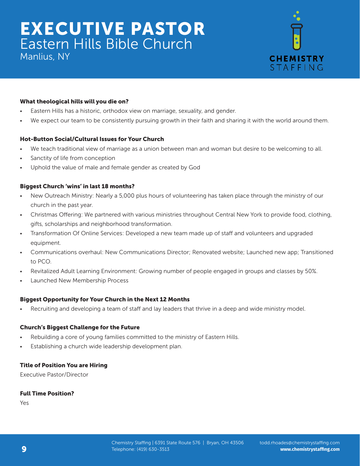Manlius, NY



# What theological hills will you die on?

- Eastern Hills has a historic, orthodox view on marriage, sexuality, and gender.
- We expect our team to be consistently pursuing growth in their faith and sharing it with the world around them.

# Hot-Button Social/Cultural Issues for Your Church

- We teach traditional view of marriage as a union between man and woman but desire to be welcoming to all.
- Sanctity of life from conception
- Uphold the value of male and female gender as created by God

# Biggest Church 'wins' in last 18 months?

- New Outreach Ministry: Nearly a 5,000 plus hours of volunteering has taken place through the ministry of our church in the past year.
- Christmas Offering: We partnered with various ministries throughout Central New York to provide food, clothing, gifts, scholarships and neighborhood transformation.
- Transformation Of Online Services: Developed a new team made up of staff and volunteers and upgraded equipment.
- Communications overhaul: New Communications Director; Renovated website; Launched new app; Transitioned to PCO.
- Revitalized Adult Learning Environment: Growing number of people engaged in groups and classes by 50%.
- Launched New Membership Process

# Biggest Opportunity for Your Church in the Next 12 Months

Recruiting and developing a team of staff and lay leaders that thrive in a deep and wide ministry model.

# Church's Biggest Challenge for the Future

- Rebuilding a core of young families committed to the ministry of Eastern Hills.
- Establishing a church wide leadership development plan.

# Title of Position You are Hiring

Executive Pastor/Director

# Full Time Position?

Yes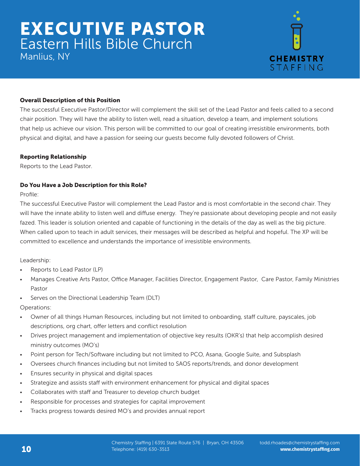Manlius, NY



# Overall Description of this Position

The successful Executive Pastor/Director will complement the skill set of the Lead Pastor and feels called to a second chair position. They will have the ability to listen well, read a situation, develop a team, and implement solutions that help us achieve our vision. This person will be committed to our goal of creating irresistible environments, both physical and digital, and have a passion for seeing our guests become fully devoted followers of Christ.

# Reporting Relationship

Reports to the Lead Pastor.

# Do You Have a Job Description for this Role?

Profile:

The successful Executive Pastor will complement the Lead Pastor and is most comfortable in the second chair. They will have the innate ability to listen well and diffuse energy. They're passionate about developing people and not easily fazed. This leader is solution oriented and capable of functioning in the details of the day as well as the big picture. When called upon to teach in adult services, their messages will be described as helpful and hopeful. The XP will be committed to excellence and understands the importance of irresistible environments.

Leadership:

- Reports to Lead Pastor (LP)
- Manages Creative Arts Pastor, Office Manager, Facilities Director, Engagement Pastor, Care Pastor, Family Ministries Pastor
- Serves on the Directional Leadership Team (DLT)

Operations:

- Owner of all things Human Resources, including but not limited to onboarding, staff culture, payscales, job descriptions, org chart, offer letters and conflict resolution
- Drives project management and implementation of objective key results (OKR's) that help accomplish desired ministry outcomes (MO's)
- Point person for Tech/Software including but not limited to PCO, Asana, Google Suite, and Subsplash
- Oversees church finances including but not limited to SAOS reports/trends, and donor development
- Ensures security in physical and digital spaces
- Strategize and assists staff with environment enhancement for physical and digital spaces
- Collaborates with staff and Treasurer to develop church budget
- Responsible for processes and strategies for capital improvement
- Tracks progress towards desired MO's and provides annual report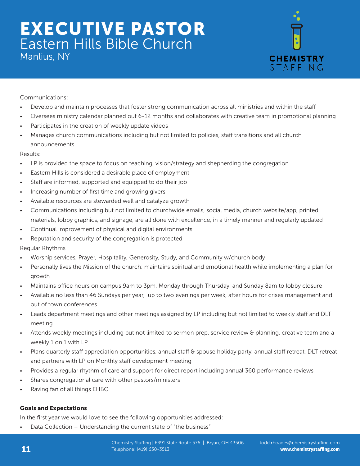Manlius, NY



Communications:

- Develop and maintain processes that foster strong communication across all ministries and within the staff
- Oversees ministry calendar planned out 6-12 months and collaborates with creative team in promotional planning
- Participates in the creation of weekly update videos
- Manages church communications including but not limited to policies, staff transitions and all church announcements

Results:

- LP is provided the space to focus on teaching, vision/strategy and shepherding the congregation
- Eastern Hills is considered a desirable place of employment
- Staff are informed, supported and equipped to do their job
- Increasing number of first time and growing givers
- Available resources are stewarded well and catalyze growth
- Communications including but not limited to churchwide emails, social media, church website/app, printed materials, lobby graphics, and signage, are all done with excellence, in a timely manner and regularly updated
- Continual improvement of physical and digital environments
- Reputation and security of the congregation is protected

Regular Rhythms

- Worship services, Prayer, Hospitality, Generosity, Study, and Community w/church body
- Personally lives the Mission of the church; maintains spiritual and emotional health while implementing a plan for growth
- Maintains office hours on campus 9am to 3pm, Monday through Thursday, and Sunday 8am to lobby closure
- Available no less than 46 Sundays per year, up to two evenings per week, after hours for crises management and out of town conferences
- Leads department meetings and other meetings assigned by LP including but not limited to weekly staff and DLT meeting
- Attends weekly meetings including but not limited to sermon prep, service review & planning, creative team and a weekly 1 on 1 with LP
- Plans quarterly staff appreciation opportunities, annual staff & spouse holiday party, annual staff retreat, DLT retreat and partners with LP on Monthly staff development meeting
- Provides a regular rhythm of care and support for direct report including annual 360 performance reviews
- Shares congregational care with other pastors/ministers
- Raving fan of all things EHBC

# Goals and Expectations

In the first year we would love to see the following opportunities addressed:

Data Collection - Understanding the current state of "the business"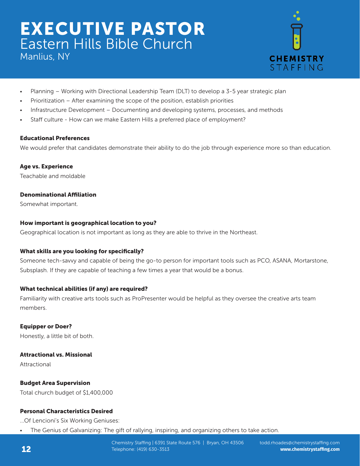Manlius, NY



- Planning Working with Directional Leadership Team (DLT) to develop a 3-5 year strategic plan
- Prioritization After examining the scope of the position, establish priorities
- Infrastructure Development Documenting and developing systems, processes, and methods
- Staff culture How can we make Eastern Hills a preferred place of employment?

# Educational Preferences

We would prefer that candidates demonstrate their ability to do the job through experience more so than education.

Age vs. Experience Teachable and moldable

# Denominational Affiliation

Somewhat important.

# How important is geographical location to you?

Geographical location is not important as long as they are able to thrive in the Northeast.

# What skills are you looking for specifically?

Someone tech-savvy and capable of being the go-to person for important tools such as PCO, ASANA, Mortarstone, Subsplash. If they are capable of teaching a few times a year that would be a bonus.

# What technical abilities (if any) are required?

Familiarity with creative arts tools such as ProPresenter would be helpful as they oversee the creative arts team members.

Equipper or Doer? Honestly, a little bit of both.

# Attractional vs. Missional

Attractional

# Budget Area Supervision

Total church budget of \$1,400,000

# Personal Characteristics Desired

...Of Lencioni's Six Working Geniuses:

• The Genius of Galvanizing: The gift of rallying, inspiring, and organizing others to take action.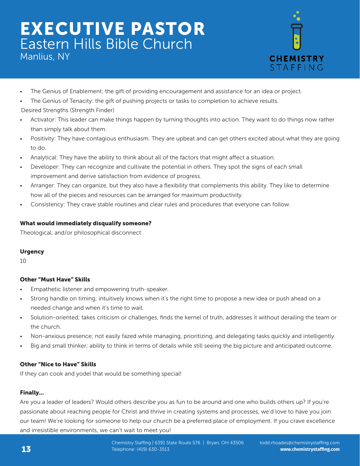



- The Genius of Enablement: the gift of providing encouragement and assistance for an idea or project.
- The Genius of Tenacity: the gift of pushing projects or tasks to completion to achieve results. Desired Strengths (Strength Finder)
- Activator: This leader can make things happen by turning thoughts into action. They want to do things now rather than simply talk about them.
- Positivity: They have contagious enthusiasm. They are upbeat and can get others excited about what they are going to do.
- Analytical: They have the ability to think about all of the factors that might affect a situation.
- Developer: They can recognize and cultivate the potential in others. They spot the signs of each small improvement and derive satisfaction from evidence of progress.
- Arranger: They can organize, but they also have a flexibility that complements this ability. They like to determine how all of the pieces and resources can be arranged for maximum productivity.
- Consistency: They crave stable routines and clear rules and procedures that everyone can follow.

# What would immediately disqualify someone?

Theological, and/or philosophical disconnect

# **Urgency**

10

# Other "Must Have" Skills

- Empathetic listener and empowering truth-speaker.
- Strong handle on timing; intuitively knows when it's the right time to propose a new idea or push ahead on a needed change and when it's time to wait.
- Solution-oriented; takes criticism or challenges, finds the kernel of truth, addresses it without derailing the team or the church.
- Non-anxious presence; not easily fazed while managing, prioritizing, and delegating tasks quickly and intelligently.
- Big and small thinker; ability to think in terms of details while still seeing the big picture and anticipated outcome.

# Other "Nice to Have" Skills

If they can cook and yodel that would be something special!

# Finally...

Are you a leader of leaders? Would others describe you as fun to be around and one who builds others up? If you're passionate about reaching people for Christ and thrive in creating systems and processes, we'd love to have you join our team! We're looking for someone to help our church be a preferred place of employment. If you crave excellence and irresistible environments, we can't wait to meet you!